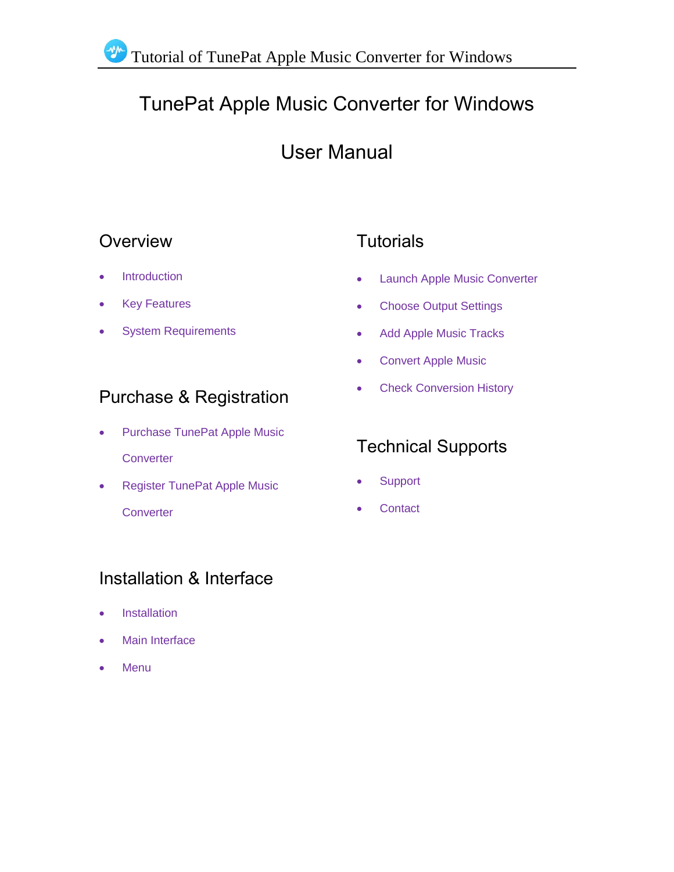# TunePat Apple Music Converter for Windows

## User Manual

### **Overview**

- **Introduction**
- Key Features
- System Requirements

### Purchase & Registration

- Purchase TunePat Apple Music **Converter**
- Register TunePat Apple Music

**Converter** 

### **Tutorials**

- Launch Apple Music Converter
- Choose Output Settings
- Add Apple Music Tracks
- Convert Apple Music
- Check Conversion History

### Technical Supports

- **Support**
- **Contact**

### Installation & Interface

- Installation
- Main Interface
- Menu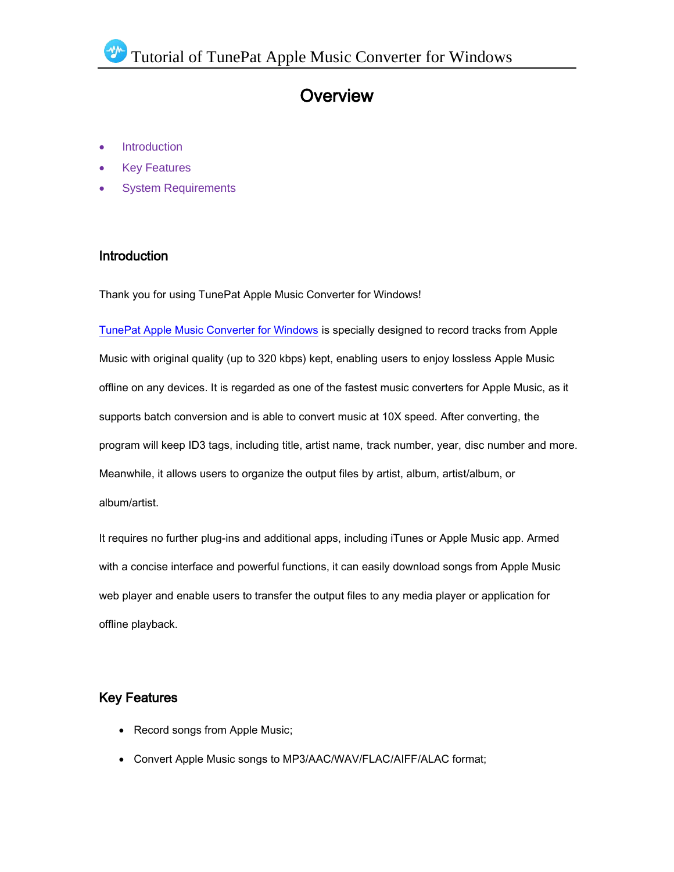### **Overview**

- **Introduction**
- Key Features
- System Requirements

#### **Introduction**

Thank you for using TunePat Apple Music Converter for Windows!

[TunePat Apple Music Converter for Windows](https://www.tunepat.com/apple-music-converter.html) is specially designed to record tracks from Apple Music with original quality (up to 320 kbps) kept, enabling users to enjoy lossless Apple Music offline on any devices. It is regarded as one of the fastest music converters for Apple Music, as it supports batch conversion and is able to convert music at 10X speed. After converting, the program will keep ID3 tags, including title, artist name, track number, year, disc number and more. Meanwhile, it allows users to organize the output files by artist, album, artist/album, or album/artist.

It requires no further plug-ins and additional apps, including iTunes or Apple Music app. Armed with a concise interface and powerful functions, it can easily download songs from Apple Music web player and enable users to transfer the output files to any media player or application for offline playback.

#### Key Features

- Record songs from Apple Music;
- Convert Apple Music songs to MP3/AAC/WAV/FLAC/AIFF/ALAC format;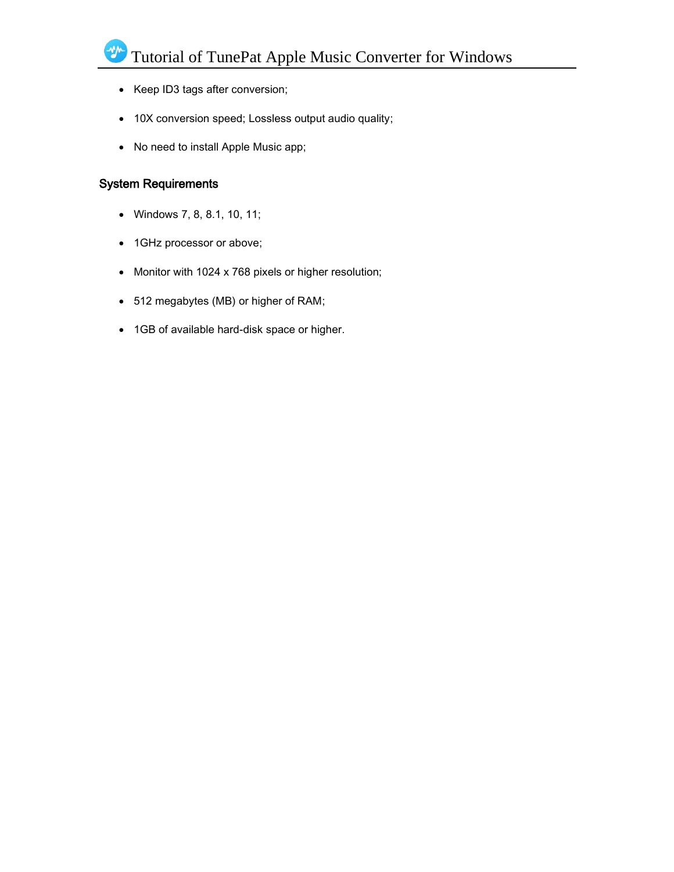- Keep ID3 tags after conversion;
- 10X conversion speed; Lossless output audio quality;
- No need to install Apple Music app;

### System Requirements

- Windows 7, 8, 8.1, 10, 11;
- 1GHz processor or above;
- Monitor with 1024 x 768 pixels or higher resolution;
- 512 megabytes (MB) or higher of RAM;
- 1GB of available hard-disk space or higher.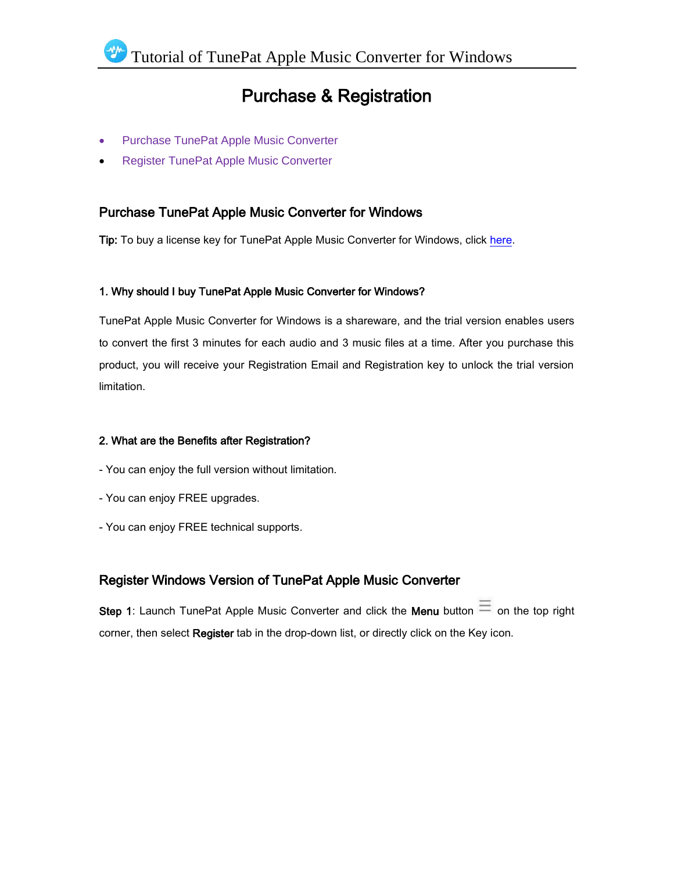### Purchase & Registration

- Purchase TunePat Apple Music Converter
- **Register TunePat Apple Music Converter**

### Purchase TunePat Apple Music Converter for Windows

Tip: To buy a license key for TunePat Apple Music Converter for Windows, click [here.](https://www.tunepat.com/apple-music-converter/buynow.html)

#### 1. Why should I buy TunePat Apple Music Converter for Windows?

TunePat Apple Music Converter for Windows is a shareware, and the trial version enables users to convert the first 3 minutes for each audio and 3 music files at a time. After you purchase this product, you will receive your Registration Email and Registration key to unlock the trial version limitation.

#### 2. What are the Benefits after Registration?

- You can enjoy the full version without limitation.
- You can enjoy FREE upgrades.
- You can enjoy FREE technical supports.

### Register Windows Version of TunePat Apple Music Converter

Step 1: Launch TunePat Apple Music Converter and click the Menu button  $\equiv$  on the top right corner, then select Register tab in the drop-down list, or directly click on the Key icon.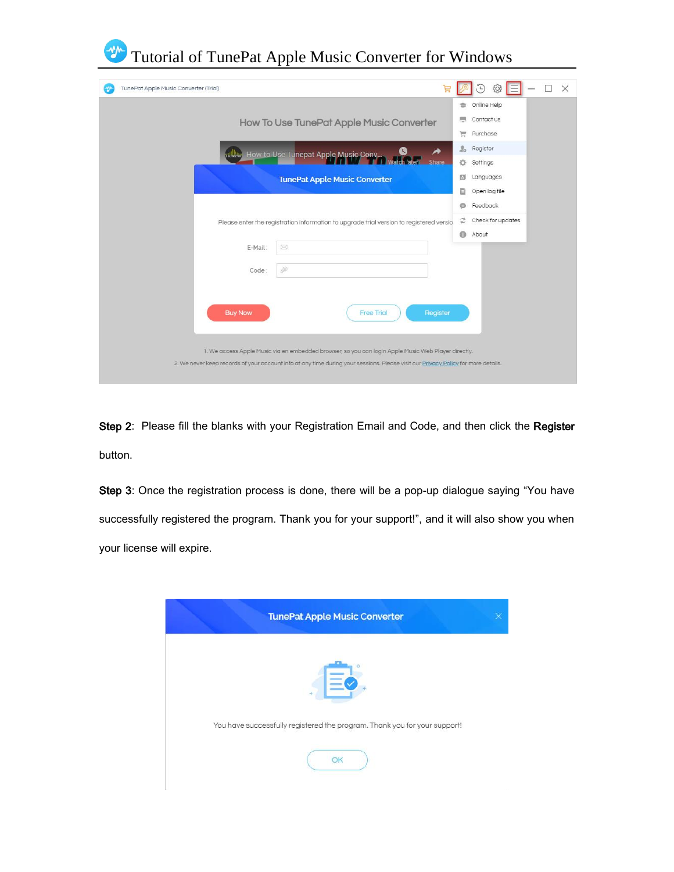

Step 2: Please fill the blanks with your Registration Email and Code, and then click the Register button.

Step 3: Once the registration process is done, there will be a pop-up dialogue saying "You have successfully registered the program. Thank you for your support!", and it will also show you when your license will expire.

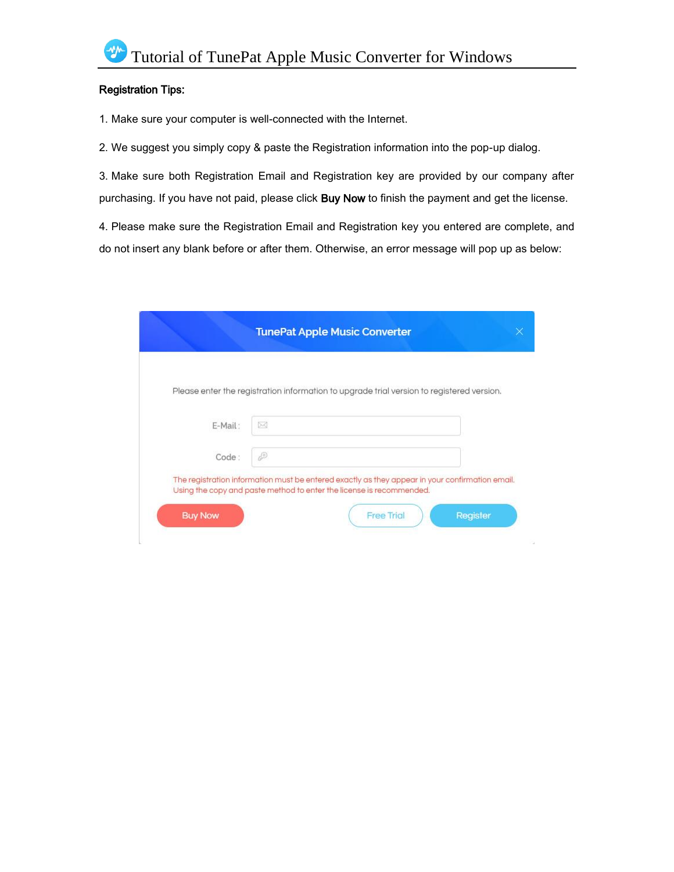#### Registration Tips:

1. Make sure your computer is well-connected with the Internet.

2. We suggest you simply copy & paste the Registration information into the pop-up dialog.

3. Make sure both Registration Email and Registration key are provided by our company after purchasing. If you have not paid, please click Buy Now to finish the payment and get the license.

4. Please make sure the Registration Email and Registration key you entered are complete, and do not insert any blank before or after them. Otherwise, an error message will pop up as below:

|              | Please enter the registration information to upgrade trial version to registered version. |  |  |
|--------------|-------------------------------------------------------------------------------------------|--|--|
|              |                                                                                           |  |  |
| X<br>E-Mail: |                                                                                           |  |  |
| D<br>Code:   |                                                                                           |  |  |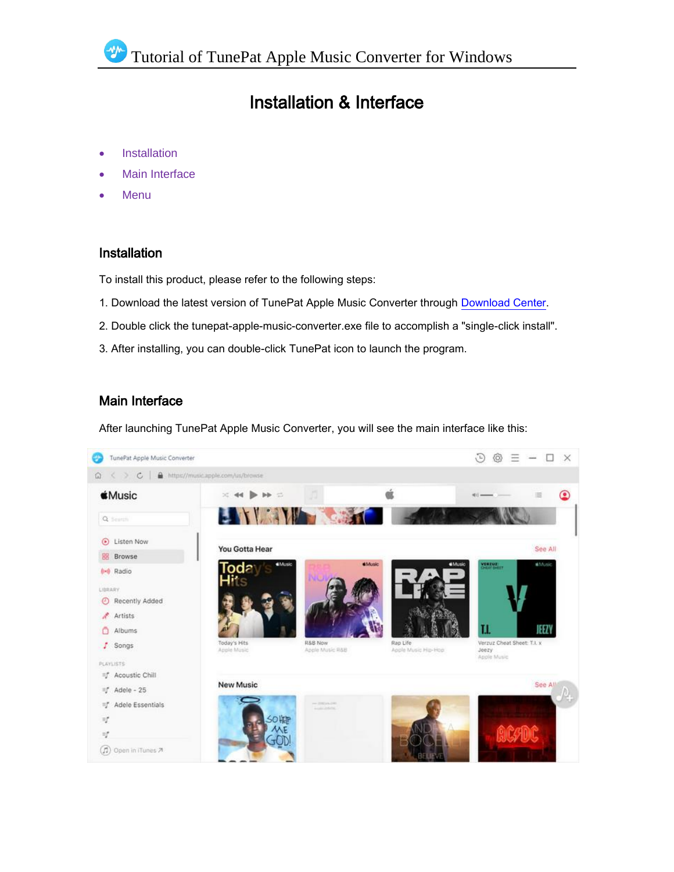### Installation & Interface

- **•** Installation
- Main Interface
- **Menu**

#### Installation

To install this product, please refer to the following steps:

- 1. Download the latest version of TunePat Apple Music Converter through [Download Center.](https://www.tunepat.com/download.html)
- 2. Double click the tunepat-apple-music-converter.exe file to accomplish a "single-click install".
- 3. After installing, you can double-click TunePat icon to launch the program.

### Main Interface

After launching TunePat Apple Music Converter, you will see the main interface like this:

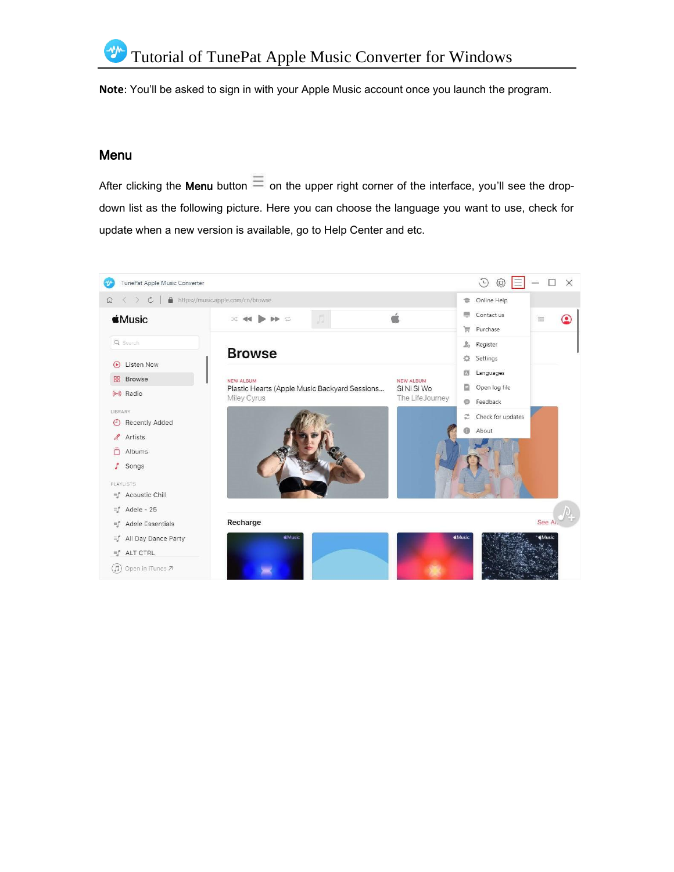**Note**: You'll be asked to sign in with your Apple Music account once you launch the program.

#### Menu

After clicking the Menu button  $\equiv$  on the upper right corner of the interface, you'll see the dropdown list as the following picture. Here you can choose the language you want to use, check for update when a new version is available, go to Help Center and etc.

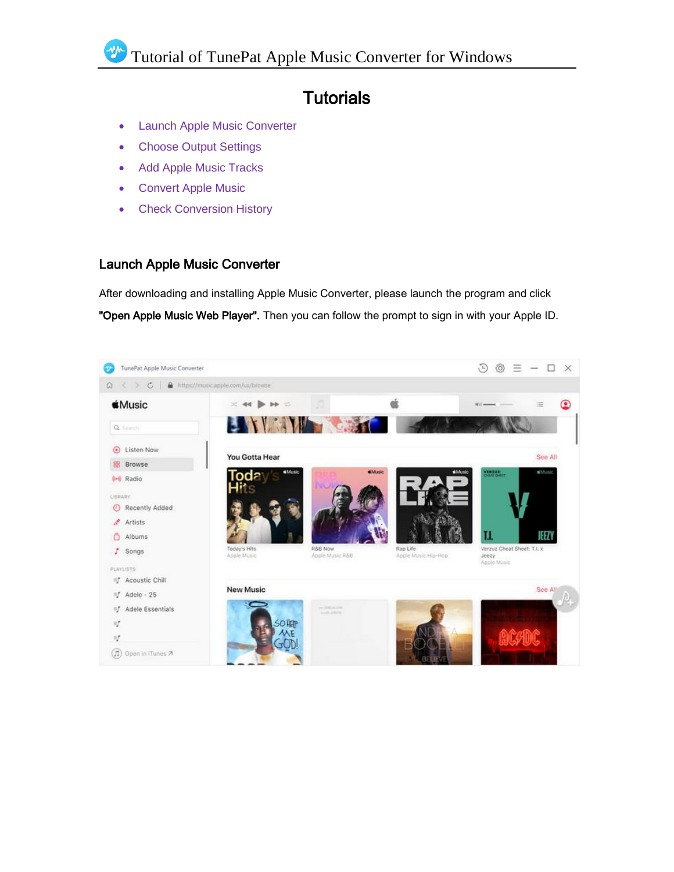### **Tutorials**

- Launch Apple Music Converter
- Choose Output Settings
- Add Apple Music Tracks
- Convert Apple Music
- Check Conversion History

#### Launch Apple Music Converter

After downloading and installing Apple Music Converter, please launch the program and click "Open Apple Music Web Player". Then you can follow the prompt to sign in with your Apple ID.

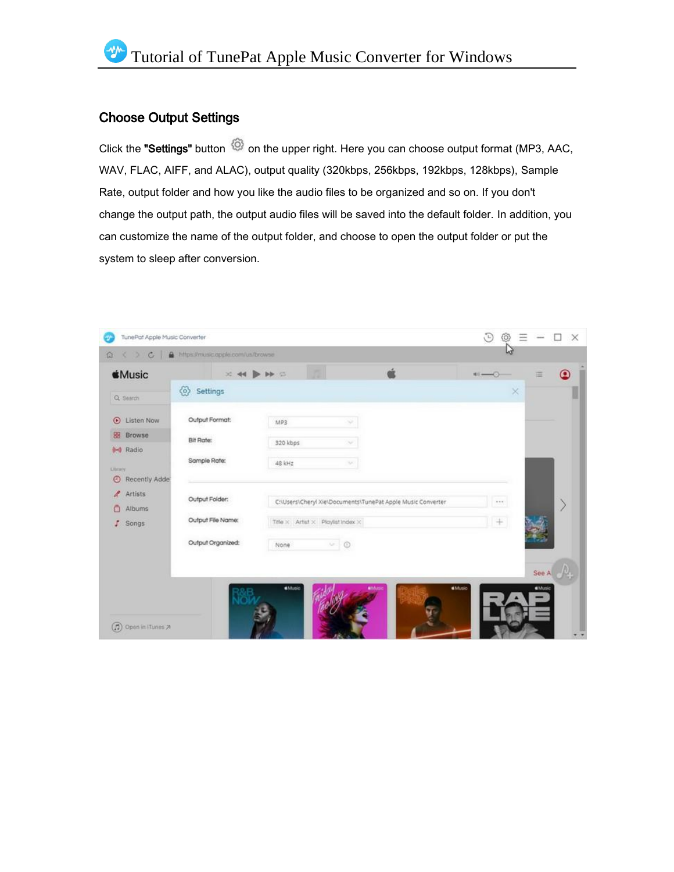### Choose Output Settings

Click the "Settings" button  $\circled{8}$  on the upper right. Here you can choose output format (MP3, AAC, WAV, FLAC, AIFF, and ALAC), output quality (320kbps, 256kbps, 192kbps, 128kbps), Sample Rate, output folder and how you like the audio files to be organized and so on. If you don't change the output path, the output audio files will be saved into the default folder. In addition, you can customize the name of the output folder, and choose to open the output folder or put the system to sleep after conversion.

| TunePat Apple Music Converter                                  |                                 |           |               |                                                        |    |                                                             |               | $\odot$<br>$=$ |                 | X |
|----------------------------------------------------------------|---------------------------------|-----------|---------------|--------------------------------------------------------|----|-------------------------------------------------------------|---------------|----------------|-----------------|---|
| < > C   A https://music.opple.com/us/browse<br>奋               |                                 |           |               |                                                        |    |                                                             |               | ιJ             |                 |   |
| <b><i>Killusic</i></b>                                         |                                 | $30 - 44$ | DD C          |                                                        |    | σŕ                                                          | <b>RG-</b>    |                | 畺               | ⊙ |
| Q Search                                                       | Settings<br>$\langle 0 \rangle$ |           |               |                                                        |    |                                                             |               | ×              |                 |   |
| <b>D</b> Listen Now                                            | Output Format:                  |           | MP3           |                                                        |    |                                                             |               |                |                 |   |
| <b>BB</b> Browse                                               | Bit Rate:                       |           | 320 kbps      |                                                        |    |                                                             |               |                |                 |   |
| <b>0-0 Radio</b><br><b>Library</b><br>$\odot$<br>Recently Adde | Sample Rate:                    |           | 48 kHz        |                                                        | V. |                                                             |               |                |                 |   |
| R<br>Artists<br>n<br>Albums                                    | Output Folder:                  |           |               |                                                        |    | C:\Users\Cheryl Xie\Documents\TunePat Apple Music Converter |               | $-0.001$       |                 |   |
| Songs<br>г                                                     | Output File Name:               |           |               | Title $\times$ Artist $\times$ Playlist Index $\times$ |    |                                                             |               | $ + $          |                 |   |
|                                                                | Output Organized:               |           | None          | $\circ$ 0                                              |    |                                                             |               |                |                 |   |
|                                                                |                                 |           |               |                                                        |    |                                                             |               |                | See A           |   |
|                                                                |                                 |           | <b>dMusic</b> |                                                        |    |                                                             | <b>MMusic</b> |                | <b>di</b> Music |   |
| $\Omega$ Open in iTunes $\lambda$                              |                                 |           |               |                                                        |    |                                                             |               |                |                 |   |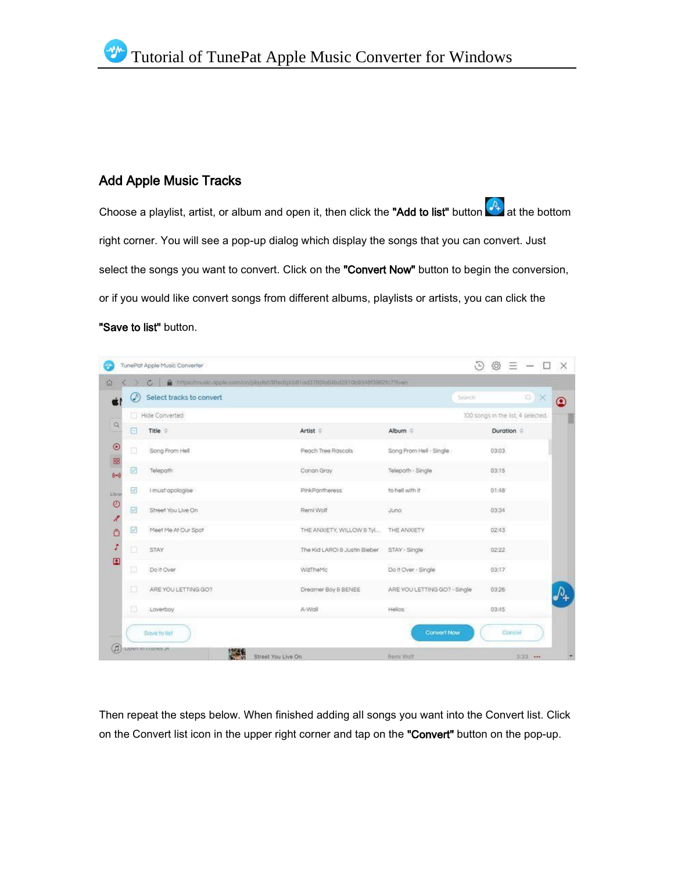### Add Apple Music Tracks

Choose a playlist, artist, or album and open it, then click the "Add to list" button  $\overline{P_+}$  at the bottom right corner. You will see a pop-up dialog which display the songs that you can convert. Just select the songs you want to convert. Click on the "Convert Now" button to begin the conversion, or if you would like convert songs from different albums, playlists or artists, you can click the

#### "Save to list" button.

|                                         |    | $\mathbb{C}$             | 4 https://music.opple.com/cr/playlist/lifted/pLb81ad3785ta64bd2910b9348f3962fc77l+en |                              |                                    |
|-----------------------------------------|----|--------------------------|--------------------------------------------------------------------------------------|------------------------------|------------------------------------|
|                                         | C  | Select tracks to convert |                                                                                      | Search                       | $Q$ $\times$<br>$\bullet$          |
| $\alpha$                                | n. | Hide Converted           |                                                                                      |                              | 100 songs in the list, 4 selected. |
| ▣                                       |    | Title =                  | $Artist =$                                                                           | Album =                      | Duration =                         |
| $\odot$<br>□<br>88                      |    | Song From Hell           | Peach Tree Rascals                                                                   | Song From Hell - Single      | 03:03                              |
| Ø<br>64                                 |    | Telepath                 | Conan Gray                                                                           | Telepath - Single            | 03:15                              |
| $\omega^{\prime}$<br>Libra              |    | I must apologise         | PinkPantheress                                                                       | to hell with it              | 01:48                              |
| $\odot$<br>$\overline{\mathbf{v}}$<br>R |    | Street You Live On       | Remi Wolf                                                                            | Juno.                        | 03:34                              |
|                                         | Ø  | Meet Me At Our Spot      | THE ANXIETY, WILLOW & TV                                                             | THE ANXIETY                  | 02:43                              |
| □                                       |    | STAY                     | The Kid LAROI & Justin Bieber                                                        | STAY - Single                | 02:22                              |
| $\blacksquare$<br>▣                     |    | Do it Over               | WizTheMc                                                                             | Do It Over - Single          | 03:17                              |
| □                                       |    | ARE YOU LETTING GO?      | Dreamer Boy & BENEE                                                                  | ARE YOU LETTING GO? - Single | 03:26                              |
| ▣                                       |    | Loverboy                 | A-Wall                                                                               | Helios:                      | 03:45                              |
|                                         |    | Save to fist             |                                                                                      | Convert Now                  | Cancel                             |

Then repeat the steps below. When finished adding all songs you want into the Convert list. Click on the Convert list icon in the upper right corner and tap on the "Convert" button on the pop-up.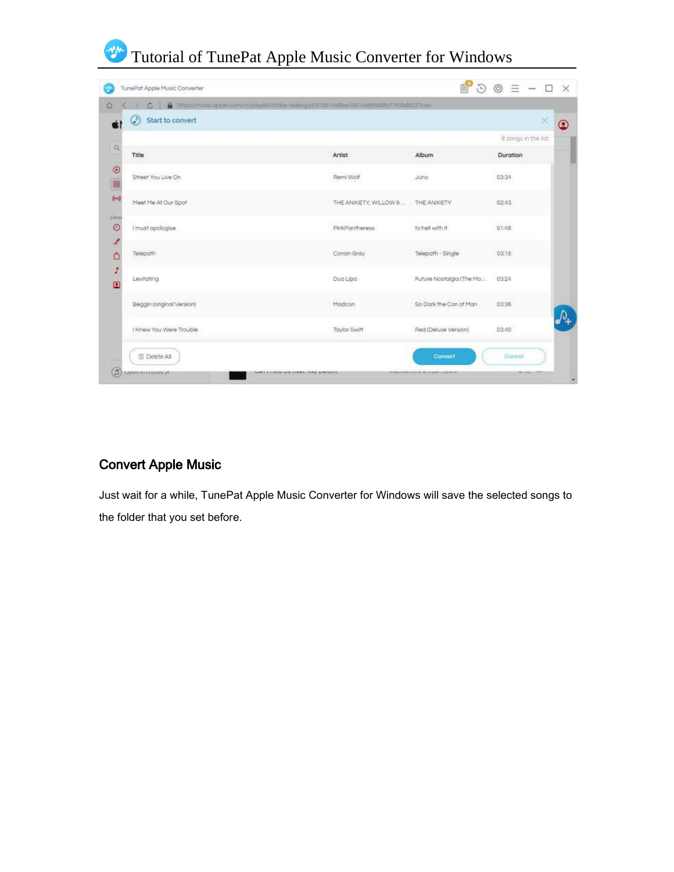| TunePat Apple Music Converter |                                                                                               | $\odot$                  | $= -$                |
|-------------------------------|-----------------------------------------------------------------------------------------------|--------------------------|----------------------|
|                               | A https://music.opple.com/cn/playlist/triday-feeling/pl.91bb14d8ee10414e8fda8fb71f56db03?l=en |                          |                      |
| œ<br>Start to convert         |                                                                                               |                          | ×                    |
|                               |                                                                                               |                          | 8 songs in the list. |
| Title                         | Artist                                                                                        | Album                    | Duration             |
| Street You Live On            | Remi Wolf                                                                                     | Juna                     | 03:34                |
| Meet Me At Our Spot           | THE ANXIETY, WILLOW 8 THE ANXIETY                                                             |                          | 02.43                |
| I must apologise              | PinkPantheress                                                                                | to hell with it          | 01:48                |
| Telepath                      | Conan Gray                                                                                    | Telepath - Single        | 03:15                |
| Levitating                    | Dua Lipa                                                                                      | Future Nostalgia (The Mo | 03:24                |
| Beggin (original Version)     | Madcon                                                                                        | So Dark the Con of Man   | 03:36                |
| I Knew You Were Trouble       | Taylor Swift                                                                                  | Red (Deluxe Version)     | 03:40                |

### Convert Apple Music

Just wait for a while, TunePat Apple Music Converter for Windows will save the selected songs to the folder that you set before.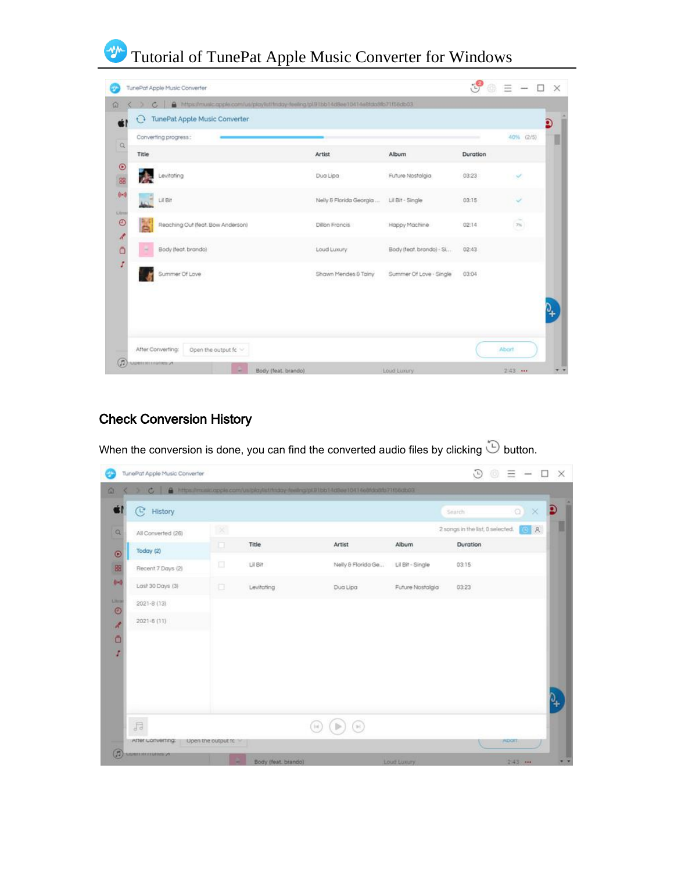# Tutorial of TunePat Apple Music Converter for Windows

| Converting progress:                          |                         |                           |          | 40% (2/5) |
|-----------------------------------------------|-------------------------|---------------------------|----------|-----------|
| Title                                         | Artist                  | Album                     | Duration |           |
| Levitating                                    | Dua Lipa                | Future Nostalgia          | 03:23    |           |
| Lil Bit                                       | Nelly 5 Florida Georgia | Lil Bit - Single          | 03:15    |           |
| <b>B</b><br>Reaching Out (feat. Bow Anderson) | Dillon Francis          | Happy Machine             | 02:14    | 2%        |
| Body (feat, brando)                           | Loud Luxury             | Body (feat, brando) - Si, | 02:43    |           |
| Summer Of Love                                | Shawn Mendes & Tainy    | Summer Of Love - Single   | 03:04    |           |
|                                               |                         |                           |          |           |

### Check Conversion History

When the conversion is done, you can find the converted audio files by clicking  $\bar{\mathbb{D}}$  button.

| G.<br>History      |              |            |                    |                  | Search                                               | ×<br>o) |
|--------------------|--------------|------------|--------------------|------------------|------------------------------------------------------|---------|
| All Converted (26) | $\mathbb{X}$ |            |                    |                  | 2 songs in the list, 0 selected. $\boxed{C \quad A}$ |         |
| Today (2)          | o            | Title      | Artist             | Album            | Duration                                             |         |
| Recent 7 Days (2)  | □            | Lil Bit    | Nelly & Florida Ge | Lil Bit - Single | 03:15                                                |         |
| Last 30 Days (3)   | o            | Levitating | Dua Lipa           | Future Nostalgia | 03:23                                                |         |
| 2021-8 (13)        |              |            |                    |                  |                                                      |         |
| 2021-6 (11)        |              |            |                    |                  |                                                      |         |
|                    |              |            |                    |                  |                                                      |         |
|                    |              |            |                    |                  |                                                      |         |
|                    |              |            |                    |                  |                                                      |         |
|                    |              |            |                    |                  |                                                      |         |
|                    |              |            |                    |                  |                                                      |         |